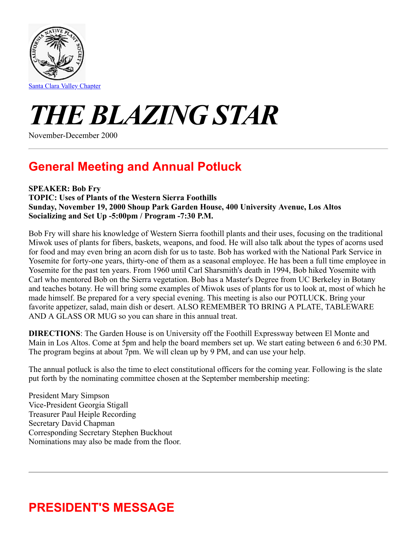

# *THE BLAZING STAR*

November-December 2000

### **General Meeting and Annual Potluck**

### **SPEAKER: Bob Fry**

**TOPIC: Uses of Plants of the Western Sierra Foothills Sunday, November 19, 2000 Shoup Park Garden House, 400 University Avenue, Los Altos Socializing and Set Up -5:00pm / Program -7:30 P.M.**

Bob Fry will share his knowledge of Western Sierra foothill plants and their uses, focusing on the traditional Miwok uses of plants for fibers, baskets, weapons, and food. He will also talk about the types of acorns used for food and may even bring an acorn dish for us to taste. Bob has worked with the National Park Service in Yosemite for forty-one years, thirty-one of them as a seasonal employee. He has been a full time employee in Yosemite for the past ten years. From 1960 until Carl Sharsmith's death in 1994, Bob hiked Yosemite with Carl who mentored Bob on the Sierra vegetation. Bob has a Master's Degree from UC Berkeley in Botany and teaches botany. He will bring some examples of Miwok uses of plants for us to look at, most of which he made himself. Be prepared for a very special evening. This meeting is also our POTLUCK. Bring your favorite appetizer, salad, main dish or desert. ALSO REMEMBER TO BRING A PLATE, TABLEWARE AND A GLASS OR MUG so you can share in this annual treat.

**DIRECTIONS**: The Garden House is on University off the Foothill Expressway between El Monte and Main in Los Altos. Come at 5pm and help the board members set up. We start eating between 6 and 6:30 PM. The program begins at about 7pm. We will clean up by 9 PM, and can use your help.

The annual potluck is also the time to elect constitutional officers for the coming year. Following is the slate put forth by the nominating committee chosen at the September membership meeting:

President Mary Simpson Vice-President Georgia Stigall Treasurer Paul Heiple Recording Secretary David Chapman Corresponding Secretary Stephen Buckhout Nominations may also be made from the floor.

## **PRESIDENT'S MESSAGE**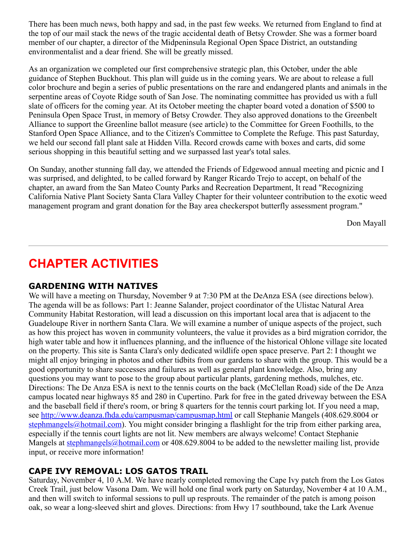There has been much news, both happy and sad, in the past few weeks. We returned from England to find at the top of our mail stack the news of the tragic accidental death of Betsy Crowder. She was a former board member of our chapter, a director of the Midpeninsula Regional Open Space District, an outstanding environmentalist and a dear friend. She will be greatly missed.

As an organization we completed our first comprehensive strategic plan, this October, under the able guidance of Stephen Buckhout. This plan will guide us in the coming years. We are about to release a full color brochure and begin a series of public presentations on the rare and endangered plants and animals in the serpentine areas of Coyote Ridge south of San Jose. The nominating committee has provided us with a full slate of officers for the coming year. At its October meeting the chapter board voted a donation of \$500 to Peninsula Open Space Trust, in memory of Betsy Crowder. They also approved donations to the Greenbelt Alliance to support the Greenline ballot measure (see article) to the Committee for Green Foothills, to the Stanford Open Space Alliance, and to the Citizen's Committee to Complete the Refuge. This past Saturday, we held our second fall plant sale at Hidden Villa. Record crowds came with boxes and carts, did some serious shopping in this beautiful setting and we surpassed last year's total sales.

On Sunday, another stunning fall day, we attended the Friends of Edgewood annual meeting and picnic and I was surprised, and delighted, to be called forward by Ranger Ricardo Trejo to accept, on behalf of the chapter, an award from the San Mateo County Parks and Recreation Department, It read "Recognizing California Native Plant Society Santa Clara Valley Chapter for their volunteer contribution to the exotic weed management program and grant donation for the Bay area checkerspot butterfly assessment program."

Don Mayall

### **CHAPTER ACTIVITIES**

### **GARDENING WITH NATIVES**

We will have a meeting on Thursday, November 9 at 7:30 PM at the DeAnza ESA (see directions below). The agenda will be as follows: Part 1: Jeanne Salander, project coordinator of the Ulistac Natural Area Community Habitat Restoration, will lead a discussion on this important local area that is adjacent to the Guadeloupe River in northern Santa Clara. We will examine a number of unique aspects of the project, such as how this project has woven in community volunteers, the value it provides as a bird migration corridor, the high water table and how it influences planning, and the influence of the historical Ohlone village site located on the property. This site is Santa Clara's only dedicated wildlife open space preserve. Part 2: I thought we might all enjoy bringing in photos and other tidbits from our gardens to share with the group. This would be a good opportunity to share successes and failures as well as general plant knowledge. Also, bring any questions you may want to pose to the group about particular plants, gardening methods, mulches, etc. Directions: The De Anza ESA is next to the tennis courts on the back (McClellan Road) side of the De Anza campus located near highways 85 and 280 in Cupertino. Park for free in the gated driveway between the ESA and the baseball field if there's room, or bring 8 quarters for the tennis court parking lot. If you need a map, see<http://www.deanza.fhda.edu/campusmap/campusmap.html> or call Stephanie Mangels (408.629.8004 or [stephmangels@hotmail.com\)](mailto:stephmangels@hotmail.com). You might consider bringing a flashlight for the trip from either parking area, especially if the tennis court lights are not lit. New members are always welcome! Contact Stephanie Mangels at [stephmangels@hotmail.com](mailto:stephmangels@hotmail.com) or 408.629.8004 to be added to the newsletter mailing list, provide input, or receive more information!

### **CAPE IVY REMOVAL: LOS GATOS TRAIL**

Saturday, November 4, 10 A.M. We have nearly completed removing the Cape Ivy patch from the Los Gatos Creek Trail, just below Vasona Dam. We will hold one final work party on Saturday, November 4 at 10 A.M., and then will switch to informal sessions to pull up resprouts. The remainder of the patch is among poison oak, so wear a long-sleeved shirt and gloves. Directions: from Hwy 17 southbound, take the Lark Avenue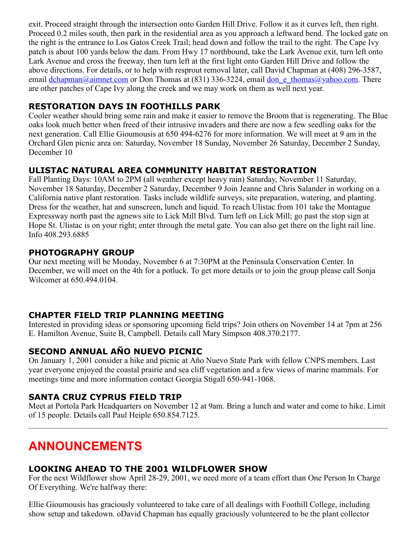exit. Proceed straight through the intersection onto Garden Hill Drive. Follow it as it curves left, then right. Proceed 0.2 miles south, then park in the residential area as you approach a leftward bend. The locked gate on the right is the entrance to Los Gatos Creek Trail; head down and follow the trail to the right. The Cape Ivy patch is about 100 yards below the dam. From Hwy 17 northbound, take the Lark Avenue exit, turn left onto Lark Avenue and cross the freeway, then turn left at the first light onto Garden Hill Drive and follow the above directions. For details, or to help with resprout removal later, call David Chapman at (408) 296-3587, email [dchapman@aimnet.com](mailto:dchapman@aimnet.com) or Don Thomas at (831) 336-3224, email don e thomas@yahoo.com. There are other patches of Cape Ivy along the creek and we may work on them as well next year.

### **RESTORATION DAYS IN FOOTHILLS PARK**

Cooler weather should bring some rain and make it easier to remove the Broom that is regenerating. The Blue oaks look much better when freed of their intrusive invaders and there are now a few seedling oaks for the next generation. Call Ellie Gioumousis at 650 494-6276 for more information. We will meet at 9 am in the Orchard Glen picnic area on: Saturday, November 18 Sunday, November 26 Saturday, December 2 Sunday, December 10

### **ULISTAC NATURAL AREA COMMUNITY HABITAT RESTORATION**

Fall Planting Days: 10AM to 2PM (all weather except heavy rain) Saturday, November 11 Saturday, November 18 Saturday, December 2 Saturday, December 9 Join Jeanne and Chris Salander in working on a California native plant restoration. Tasks include wildlife surveys, site preparation, watering, and planting. Dress for the weather, hat and sunscreen, lunch and liquid. To reach Ulistac from 101 take the Montague Expressway north past the agnews site to Lick Mill Blvd. Turn left on Lick Mill; go past the stop sign at Hope St. Ulistac is on your right; enter through the metal gate. You can also get there on the light rail line. Info 408.293.6885

### **PHOTOGRAPHY GROUP**

Our next meeting will be Monday, November 6 at 7:30PM at the Peninsula Conservation Center. In December, we will meet on the 4th for a potluck. To get more details or to join the group please call Sonja Wilcomer at 650.494.0104.

### **CHAPTER FIELD TRIP PLANNING MEETING**

Interested in providing ideas or sponsoring upcoming field trips? Join others on November 14 at 7pm at 256 E. Hamilton Avenue, Suite B, Campbell. Details call Mary Simpson 408.370.2177.

### **SECOND ANNUAL AÑO NUEVO PICNIC**

On January 1, 2001 consider a hike and picnic at Año Nuevo State Park with fellow CNPS members. Last year everyone enjoyed the coastal prairie and sea cliff vegetation and a few views of marine mammals. For meetings time and more information contact Georgia Stigall 650-941-1068.

### **SANTA CRUZ CYPRUS FIELD TRIP**

Meet at Portola Park Headquarters on November 12 at 9am. Bring a lunch and water and come to hike. Limit of 15 people. Details call Paul Heiple 650.854.7125.

### **ANNOUNCEMENTS**

### **LOOKING AHEAD TO THE 2001 WILDFLOWER SHOW**

For the next Wildflower show April 28-29, 2001, we need more of a team effort than One Person In Charge Of Everything. We're halfway there:

Ellie Gioumousis has graciously volunteered to take care of all dealings with Foothill College, including show setup and takedown. oDavid Chapman has equally graciously volunteered to be the plant collector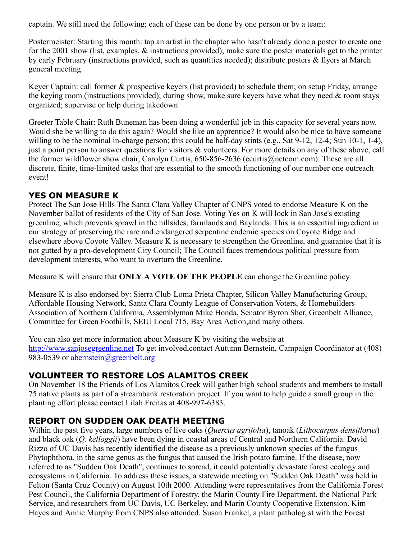captain. We still need the following; each of these can be done by one person or by a team:

Postermeister: Starting this month: tap an artist in the chapter who hasn't already done a poster to create one for the 2001 show (list, examples, & instructions provided); make sure the poster materials get to the printer by early February (instructions provided, such as quantities needed); distribute posters & flyers at March general meeting

Keyer Captain: call former & prospective keyers (list provided) to schedule them; on setup Friday, arrange the keying room (instructions provided); during show, make sure keyers have what they need  $\&$  room stays organized; supervise or help during takedown

Greeter Table Chair: Ruth Buneman has been doing a wonderful job in this capacity for several years now. Would she be willing to do this again? Would she like an apprentice? It would also be nice to have someone willing to be the nominal in-charge person; this could be half-day stints (e.g., Sat 9-12, 12-4; Sun 10-1, 1-4), just a point person to answer questions for visitors & volunteers. For more details on any of these above, call the former wildflower show chair, Carolyn Curtis, 650-856-2636 (ccurtis@netcom.com). These are all discrete, finite, time-limited tasks that are essential to the smooth functioning of our number one outreach event!

### **YES ON MEASURE K**

Protect The San Jose Hills The Santa Clara Valley Chapter of CNPS voted to endorse Measure K on the November ballot of residents of the City of San Jose. Voting Yes on K will lock in San Jose's existing greenline, which prevents sprawl in the hillsides, farmlands and Baylands. This is an essential ingredient in our strategy of preserving the rare and endangered serpentine endemic species on Coyote Ridge and elsewhere above Coyote Valley. Measure K is necessary to strengthen the Greenline, and guarantee that it is not gutted by a pro-development City Council; The Council faces tremendous political pressure from development interests, who want to overturn the Greenline.

Measure K will ensure that **ONLY A VOTE OF THE PEOPLE** can change the Greenline policy.

Measure K is also endorsed by: Sierra Club-Loma Prieta Chapter, Silicon Valley Manufacturing Group, Affordable Housing Network, Santa Clara County League of Conservation Voters, & Homebuilders Association of Northern California, Assemblyman Mike Honda, Senator Byron Sher, Greenbelt Alliance, Committee for Green Foothills, SEIU Local 715, Bay Area Action,and many others.

You can also get more information about Measure K by visiting the website at [http://www.sanjosegreenline.net](http://www.sanjosegreenline.net/) To get involved,contact Autumn Bernstein, Campaign Coordinator at (408) 983-0539 or [abernstein@greenbelt.org](file:///G:/Vivian/Documents/abernstein@greenbelt.org)

### **VOLUNTEER TO RESTORE LOS ALAMITOS CREEK**

On November 18 the Friends of Los Alamitos Creek will gather high school students and members to install 75 native plants as part of a streambank restoration project. If you want to help guide a small group in the planting effort please contact Lilah Freitas at 408-997-6383.

### **REPORT ON SUDDEN OAK DEATH MEETING**

Within the past five years, large numbers of live oaks (*Quercus agrifolia*), tanoak (*Lithocarpus densiflorus*) and black oak (*Q. kelloggii*) have been dying in coastal areas of Central and Northern California. David Rizzo of UC Davis has recently identified the disease as a previously unknown species of the fungus Phytophthora, in the same genus as the fungus that caused the Irish potato famine. If the disease, now referred to as "Sudden Oak Death", continues to spread, it could potentially devastate forest ecology and ecosystems in California. To address these issues, a statewide meeting on "Sudden Oak Death" was held in Felton (Santa Cruz County) on August 10th 2000. Attending were representatives from the California Forest Pest Council, the California Department of Forestry, the Marin County Fire Department, the National Park Service, and researchers from UC Davis, UC Berkeley, and Marin County Cooperative Extension. Kim Hayes and Annie Murphy from CNPS also attended. Susan Frankel, a plant pathologist with the Forest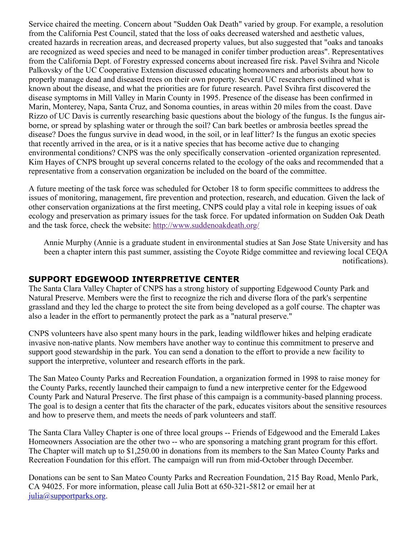Service chaired the meeting. Concern about "Sudden Oak Death" varied by group. For example, a resolution from the California Pest Council, stated that the loss of oaks decreased watershed and aesthetic values, created hazards in recreation areas, and decreased property values, but also suggested that "oaks and tanoaks are recognized as weed species and need to be managed in conifer timber production areas". Representatives from the California Dept. of Forestry expressed concerns about increased fire risk. Pavel Svihra and Nicole Palkovsky of the UC Cooperative Extension discussed educating homeowners and arborists about how to properly manage dead and diseased trees on their own property. Several UC researchers outlined what is known about the disease, and what the priorities are for future research. Pavel Svihra first discovered the disease symptoms in Mill Valley in Marin County in 1995. Presence of the disease has been confirmed in Marin, Monterey, Napa, Santa Cruz, and Sonoma counties, in areas within 20 miles from the coast. Dave Rizzo of UC Davis is currently researching basic questions about the biology of the fungus. Is the fungus airborne, or spread by splashing water or through the soil? Can bark beetles or ambrosia beetles spread the disease? Does the fungus survive in dead wood, in the soil, or in leaf litter? Is the fungus an exotic species that recently arrived in the area, or is it a native species that has become active due to changing environmental conditions? CNPS was the only specifically conservation -oriented organization represented. Kim Hayes of CNPS brought up several concerns related to the ecology of the oaks and recommended that a representative from a conservation organization be included on the board of the committee.

A future meeting of the task force was scheduled for October 18 to form specific committees to address the issues of monitoring, management, fire prevention and protection, research, and education. Given the lack of other conservation organizations at the first meeting, CNPS could play a vital role in keeping issues of oak ecology and preservation as primary issues for the task force. For updated information on Sudden Oak Death and the task force, check the website:<http://www.suddenoakdeath.org/>

Annie Murphy (Annie is a graduate student in environmental studies at San Jose State University and has been a chapter intern this past summer, assisting the Coyote Ridge committee and reviewing local CEQA notifications).

### **SUPPORT EDGEWOOD INTERPRETIVE CENTER**

The Santa Clara Valley Chapter of CNPS has a strong history of supporting Edgewood County Park and Natural Preserve. Members were the first to recognize the rich and diverse flora of the park's serpentine grassland and they led the charge to protect the site from being developed as a golf course. The chapter was also a leader in the effort to permanently protect the park as a "natural preserve."

CNPS volunteers have also spent many hours in the park, leading wildflower hikes and helping eradicate invasive non-native plants. Now members have another way to continue this commitment to preserve and support good stewardship in the park. You can send a donation to the effort to provide a new facility to support the interpretive, volunteer and research efforts in the park.

The San Mateo County Parks and Recreation Foundation, a organization formed in 1998 to raise money for the County Parks, recently launched their campaign to fund a new interpretive center for the Edgewood County Park and Natural Preserve. The first phase of this campaign is a community-based planning process. The goal is to design a center that fits the character of the park, educates visitors about the sensitive resources and how to preserve them, and meets the needs of park volunteers and staff.

The Santa Clara Valley Chapter is one of three local groups -- Friends of Edgewood and the Emerald Lakes Homeowners Association are the other two -- who are sponsoring a matching grant program for this effort. The Chapter will match up to \$1,250.00 in donations from its members to the San Mateo County Parks and Recreation Foundation for this effort. The campaign will run from mid-October through December.

Donations can be sent to San Mateo County Parks and Recreation Foundation, 215 Bay Road, Menlo Park, CA 94025. For more information, please call Julia Bott at 650-321-5812 or email her at  $julia@supportparks.org.$  $julia@supportparks.org.$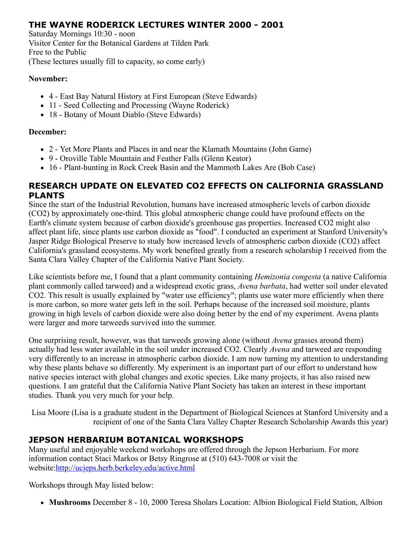### **THE WAYNE RODERICK LECTURES WINTER 2000 - 2001**

Saturday Mornings 10:30 - noon Visitor Center for the Botanical Gardens at Tilden Park Free to the Public (These lectures usually fill to capacity, so come early)

#### **November:**

- 4 East Bay Natural History at First European (Steve Edwards)
- 11 Seed Collecting and Processing (Wayne Roderick)
- 18 Botany of Mount Diablo (Steve Edwards)

#### **December:**

- 2 Yet More Plants and Places in and near the Klamath Mountains (John Game)
- 9 Oroville Table Mountain and Feather Falls (Glenn Keator)
- 16 Plant-hunting in Rock Creek Basin and the Mammoth Lakes Are (Bob Case)

### **RESEARCH UPDATE ON ELEVATED CO2 EFFECTS ON CALIFORNIA GRASSLAND PLANTS**

Since the start of the Industrial Revolution, humans have increased atmospheric levels of carbon dioxide (CO2) by approximately one-third. This global atmospheric change could have profound effects on the Earth's climate system because of carbon dioxide's greenhouse gas properties. Increased CO2 might also affect plant life, since plants use carbon dioxide as "food". I conducted an experiment at Stanford University's Jasper Ridge Biological Preserve to study how increased levels of atmospheric carbon dioxide (CO2) affect California's grassland ecosystems. My work benefited greatly from a research scholarship I received from the Santa Clara Valley Chapter of the California Native Plant Society.

Like scientists before me, I found that a plant community containing *Hemizonia congesta* (a native California plant commonly called tarweed) and a widespread exotic grass, *Avena barbata*, had wetter soil under elevated CO2. This result is usually explained by "water use efficiency"; plants use water more efficiently when there is more carbon, so more water gets left in the soil. Perhaps because of the increased soil moisture, plants growing in high levels of carbon dioxide were also doing better by the end of my experiment. Avena plants were larger and more tarweeds survived into the summer.

One surprising result, however, was that tarweeds growing alone (without *Avena* grasses around them) actually had less water available in the soil under increased CO2. Clearly *Avena* and tarweed are responding very differently to an increase in atmospheric carbon dioxide. I am now turning my attention to understanding why these plants behave so differently. My experiment is an important part of our effort to understand how native species interact with global changes and exotic species. Like many projects, it has also raised new questions. I am grateful that the California Native Plant Society has taken an interest in these important studies. Thank you very much for your help.

Lisa Moore (Lisa is a graduate student in the Department of Biological Sciences at Stanford University and a recipient of one of the Santa Clara Valley Chapter Research Scholarship Awards this year)

### **JEPSON HERBARIUM BOTANICAL WORKSHOPS**

Many useful and enjoyable weekend workshops are offered through the Jepson Herbarium. For more information contact Staci Markos or Betsy Ringrose at (510) 643-7008 or visit the website:<http://ucjeps.herb.berkeley.edu/active.html>

Workshops through May listed below:

**Mushrooms** December 8 - 10, 2000 Teresa Sholars Location: Albion Biological Field Station, Albion